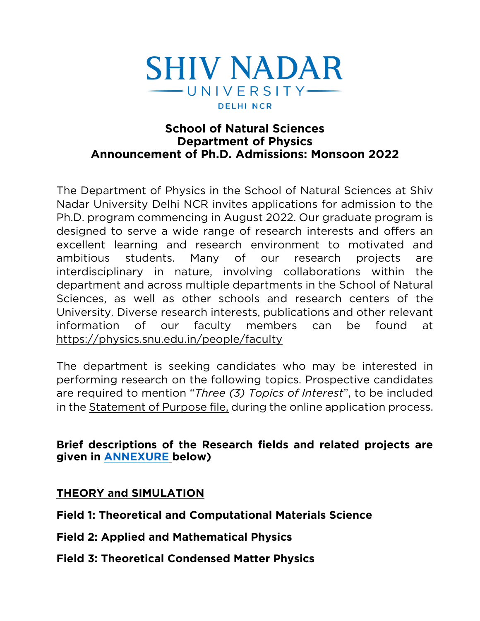

#### **School of Natural Sciences Department of Physics Announcement of Ph.D. Admissions: Monsoon 2022 Announcement of Ph.D. Admissions: Monsoon 2022**

The Department of Physics in the School of Natural Sciences at Shiv<br>Nadar University Delhi NCR invites applications for admission to the Ph.D. program commencing in August 2022. Our graduate program is designed to serve a wide range of research interests and offers an excellent learning and research environment to motivated and ambitious students. Many of our research projects are interdisciplinary in nature, involving collaborations within the department and across multiple departments in the School of Natural Sciences, as well as other schools and research centers of the University. Diverse research interests, publications and other relevant information of our faculty members can be found at https://physics.snu.edu.in/people/faculty https://physics.snu.edu.in/people/faculty

The department is seeking candidates who may be interested in performing research on the following topics. Prospective candidates are required to mention "Three (3) Topics of Interest", to be included in the Statement of Purpose file, during the online application process. in the <u>statement of Purpose file</u>, during the online application process.

#### **Brief d[escriptions of](#page-5-0) the Research fields and related projects are g**iven in <u>communicine</u>, because

#### **THEORY and SIMULATION THEORY and SIMULATION**

**Field 1: Theoretical and Computational Materials Science**

- **Field 2: Applied and Mathematical Physics**
- **Field 3: Theoretical Condensed Matter Physics**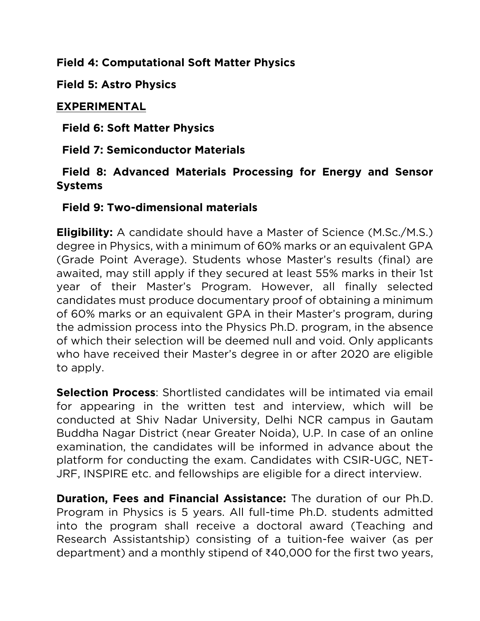# **Field 4: Computational Soft Matter Physics**

**Field 5: Astro Physics** 

# **EXPERIMENTAL**

**Field 6: Soft Matter Physics**

**Field 7: Semiconductor Materials Field 7: Semiconductor Materials**

### **Existence Systems**

#### **Field 9: Two-dimensional materials Field 9: Two-dimensional materials**

**Eligibility:** A candidate should have a Master of Science (M.Sc./M.S.) degree in Physics, with a minimum of 60% marks or an equivalent GPA (Grade Point Average). Students whose Master's results (final) are awaited, may still apply if they secured at least 55% marks in their 1st year of their Master's Program. However, all finally selected candidates must produce documentary proof of obtaining a minimum. of 60% marks or an equivalent GPA in their Master's program, during the admission process into the Physics Ph.D. program, in the absence of which their selection will be deemed null and void. Only applicants who have received their Master's degree in or after 2020 are eligible who have received their master's degree in or after 2020 are eligible.<br>to apply to apply.

**Selection Process**: Shortlisted candidates will be intimated via email for appearing in the written test and interview, which will be conducted at Shiv Nadar University, Delhi NCR campus in Gautam Buddha Nagar District (near Greater Noida), U.P. In case of an online examination, the candidates will be informed in advance about the platform for conducting the exam. Candidates with CSIR-UGC, NET- $\frac{1}{2}$  in the example of conduction  $\frac{1}{2}$  in the examence of  $\frac{1}{2}$  in the examence of  $\frac{1}{2}$  $\frac{1}{2}$ 

**Duration, Fees and Financial Assistance:** The duration of our Ph.D.<br>Program in Physics is 5 years. All full-time Ph.D. students admitted into the program shall receive a doctoral award (Teaching and Research Assistantship) consisting of a tuition-fee waiver (as per Research Assistantship) consisting of a tuition-fee waiver (as per department) and a monthly stipend of ₹40,000 for the first two years,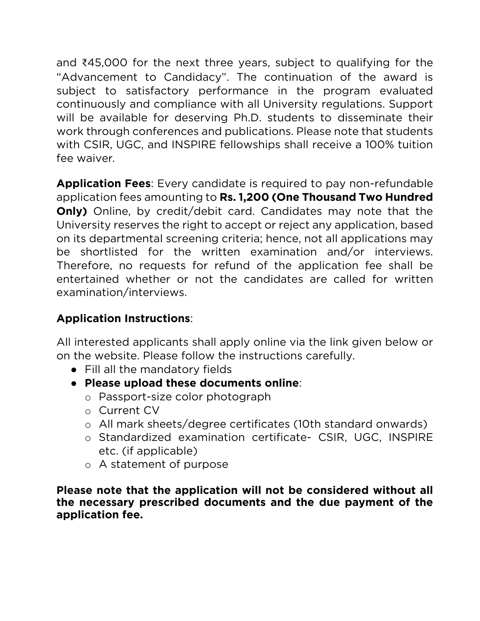and ₹45,000 for the next three years, subject to qualifying for the subject to satisfactory performance in the program evaluated continuously and compliance with all University regulations. Support will be available for deserving Ph.D. students to disseminate their work through conferences and publications. Please note that students with  $CSP \, \text{IIGC}$  and INSPIRE followships shall receive a 100% tuition  $\frac{1}{2}$ fee waiver*.*

**Application Fees**: Every candidate is required to pay non-refundable **Only)** Online, by credit/debit card. Candidates may note that the University reserves the right to accept or reject any application, based on its departmental screening criteria; hence, not all applications may be shortlisted for the written examination and/or interviews. Therefore, no requests for refund of the application fee shall be entertained whether or not the candidates are called for written examination/interviews. examination/interviews.

#### **Application Instructions**:

All interested applicants shall apply online via the link given below or on the website. Please follow the instructions carefully.

- Fill all the mandatory fields<br>• Please upload these documents online:
	- **Please upload these documents online**:
		- <sup>o</sup> Passport-size color photograph
		- <sup>o</sup> Current CV
		- <sup>o</sup> All mark sheets/degree certificates (10th standard onwards)
		- o Standardized examination certificate- CSIR, UGC, INSPIRE etc. (if applicable)
		- $\circ$  A statement of purpose

**Please note that the application will not be considered without all**  application fee. **application fee.**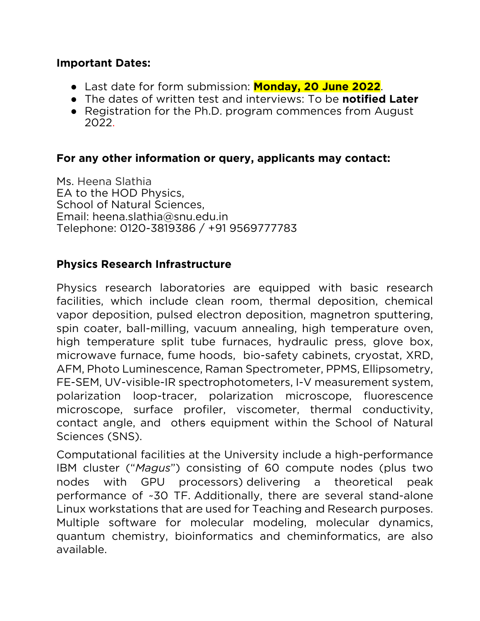### **Important Dates:**

- Last date for form submission: **Monday, 20 June 2022**.
- The dates of written test and interviews: To be **notified Later**
- Registration for the Ph.D. program commences from August 2022. 2022.

# **For any other information or query, applicants may contact:**

Ms. Heena Slathia<br>EA to the HOD Physics, School of Natural Sciences, Email: heena.slathia@snu.edu.in Telephone: 0120-3819386 / +91 9569777783 Telephone: 0120-381938777886 / +91 9569778

### **Physics Research Infrastructure**

Physics research laboratories are equipped with basic research<br>facilities, which include clean room, thermal deposition, chemical vapor deposition, pulsed electron deposition, magnetron sputtering, spin coater, ball-milling, vacuum annealing, high temperature oven, high temperature split tube furnaces, hydraulic press, glove box, microwave furnace, fume hoods, bio-safety cabinets, cryostat, XRD, AFM, Photo Luminescence, Raman Spectrometer, PPMS, Ellipsometry, FE-SEM, UV-visible-IR spectrophotometers, I-V measurement system, polarization loop-tracer, polarization microscope, fluorescence microscope, surface profiler, viscometer, thermal conductivity, contact angle, and others equipment within the School of Natural Sciences (SNS).

Computational facilities at the University include a high-performance IBM cluster ("Magus") consisting of 60 compute nodes (plus two nodes with GPU processors) delivering a theoretical peak performance of ~30 TF. Additionally, there are several stand-alone Linux workstations that are used for Teaching and Research purposes. Multiple software for molecular modeling, molecular dynamics, quantum chemistry, bioinformatics and cheminformatics, are also quantum chemistry, bioinformatic and cheming and cheming and cheming and cheming and cheming and cheming and chemin available.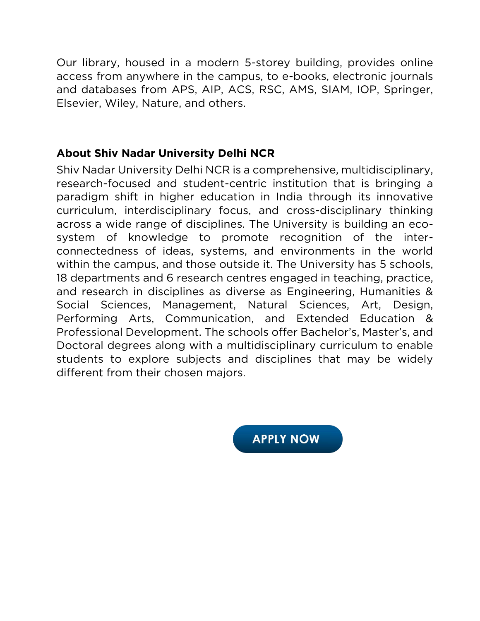Our library, housed in a modern 5-storey building, provides online and databases from APS, AIP, ACS, RSC, AMS, SIAM, IOP, Springer, Elsevier, Wiley, Nature, and others. Elsevier, Wiley, Nature, and others.

**About Shiv Nadar University Delhi NCR** research-focused and student-centric institution that is bringing a paradigm shift in higher education in India through its innovative curriculum, interdisciplinary focus, and cross-disciplinary thinking across a wide range of disciplines. The University is building an ecosystem of knowledge to promote recognition of the interconnectedness of ideas, systems, and environments in the world within the campus, and those outside it. The University has 5 schools, 18 departments and 6 research centres engaged in teaching, practice, and research in disciplines as diverse as Engineering, Humanities & Social Sciences, Management, Natural Sciences, Art, Design, Performing Arts, Communication, and Extended Education & Professional Development. The schools offer Bachelor's, Master's, and Doctoral degrees along with a multidisciplinary curriculum to enable students to explore subjects and disciplines that may be widely different from their chosen majors. different from their chosen majors.

**APPLY NOW**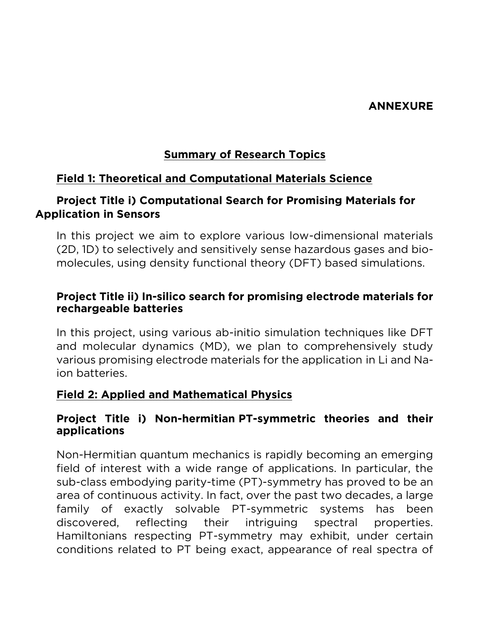#### **ANNEXURE ANNEXURE**

# **Summary of Research Topics**

### <span id="page-5-0"></span>**Field 1: Theoretical and Computational Materials Science**

### **Project Title i) Computational Search for Promising Materials for Application in Sensors**

In this project we aim to explore various low-dimensional materials<br>(2D, 1D) to selectively and sensitively sense hazardous gases and biomolecules, using density functional theory (DFT) based simulations. molecules, using density functional theory (DFT) based simulations.

#### **Project Title ii) In-silico search for promising electrode materials for rechargeable batteries**

In this project, using various ab-initio simulation techniques like DFT and molecular dynamics (MD), we plan to comprehensively study various promising electrode materials for the application in Li and Naion batteries. ion batteries.

#### **Field 2: Applied and Mathematical Physics**

#### **Project Title i) Non-hermitian PT-symmetric theories and their applications**

Non-Hermitian quantum mechanics is rapidly becoming an emerging<br>field of interest with a wide range of applications. In particular, the sub-class embodying parity-time (PT)-symmetry has proved to be an area of continuous activity. In fact, over the past two decades, a large family of exactly solvable PT-symmetric systems has been discovered, reflecting their intriguing spectral properties. Hamiltonians respecting PT-symmetry may exhibit, under certain conditions related to PT being exact, appearance of real spectra of conditions related to PT being exact, appearance of real spectra of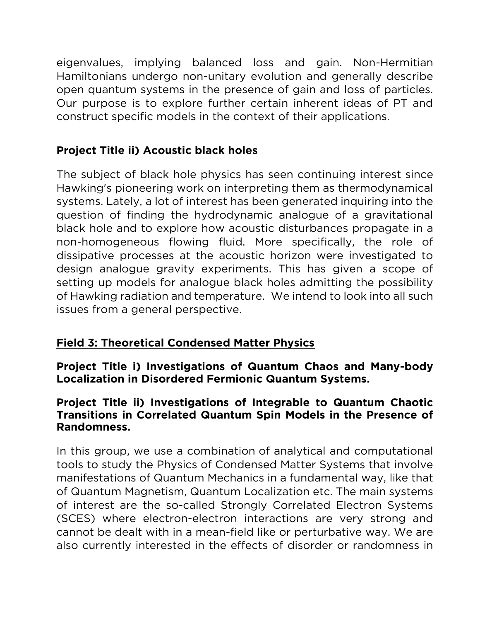eigenvalues, implying balanced loss and gain. Non-Hermitian open quantum systems in the presence of gain and loss of particles. Our purpose is to explore further certain inherent ideas of PT and construct specific models in the context of their applications. construct specific models in the context of their applications.

# **Project Title ii) Acoustic black holes**

Hawking's pioneering work on interpreting them as thermodynamical<br>systems Lately a lot of interest has been generated inquiring into the systems. Lately, a lot of interest has been generated inquiring into the question of finding the hydrodynamic analogue of a gravitational black hole and to explore how acoustic disturbances propagate in a non-homogeneous flowing fluid. More specifically, the role of dissipative processes at the acoustic horizon were investigated to design analogue gravity experiments. This has given a scope of setting up models for analogue black holes admitting the possibility of Hawking radiation and temperature. We intend to look into all such of Hamming radiation and temperature. We intend to looking all such issues from a general perspective.

# **Field 3: Theoretical Condensed Matter Physics**

**Project Title i) Investigations of Quantum Chaos and Many-body Localization in Disordered Fermionic Quantum Systems.**

#### **Project Title ii) Investigations of Integrable to Quantum Chaotic Randomness. Randomness.**

In this group, we use a combination of analytical and computational manifestations of Quantum Mechanics in a fundamental way, like that of Quantum Magnetism, Quantum Localization etc. The main systems of interest are the so-called Strongly Correlated Electron Systems (SCES) where electron-electron interactions are very strong and cannot be dealt with in a mean-field like or perturbative way. We are also currently interested in the effects of disorder or randomness in also currently interested in the effects of disorder or randomness in the effects of disorder or randomness in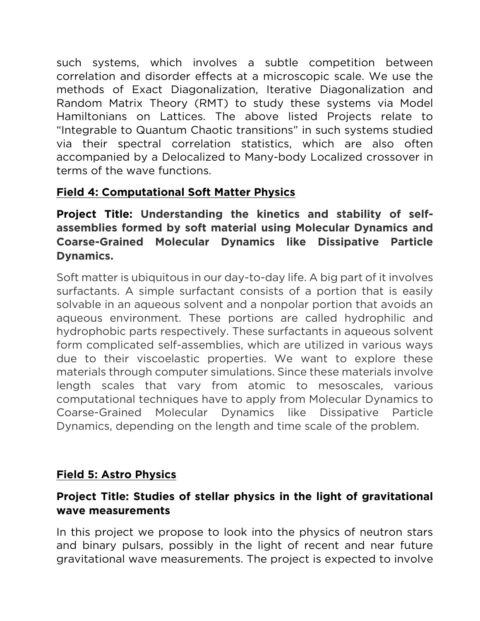such systems, which involves a subtle competition between correlation and disorder effects at a microscopic scale. We use the methods of Exact Diagonalization, Iterative Diagonalization and Random Matrix Theory (RMT) to study these systems via Model Hamiltonians on Lattices. The above listed Proiects relate to "Integrable to Quantum Chaotic transitions" in such systems studied via their spectral correlation statistics, which are also often accompanied by a Delocalized to Many-body Localized crossover in terms of the wave functions. terms of the wave functions.

# **Field 4: Computational Soft Matter Physics**

**Project Title: Understanding the kinetics and stability of self-Coarse-Grained Molecular Dynamics like Dissipative Particle Coarse-Grained Molecular Dynamics like Dissipative Particle Dynamics.**

Soft matter is ubiquitous in our day-to-day life. A big part of it involves surfactants. A simple surfactant consists of a portion that is easily solvable in an aqueous solvent and a nonpolar portion that avoids an aqueous environment. These portions are called hydrophilic and hydrophobic parts respectively. These surfactants in aqueous solvent form complicated self-assemblies, which are utilized in various ways due to their viscoelastic properties. We want to explore these materials through computer simulations. Since these materials involve length scales that vary from atomic to mesoscales, various computational techniques have to apply from Molecular Dynamics to Coarse-Grained Molecular Dynamics like Dissipative Particle Dynamics, depending on the length and time scale of the problem Dynamics, depending on the length and time scale of the problem.

# **Field 5: Astro Physics**

### **Project Title: Studies of stellar physics in the light of gravitational wave measurements**

In this project we propose to look into the physics of neutron stars and binary pulsars, possibly in the light of recent and near future and binary pulsars, process in the light of recent and near future of  $\sigma$  in the light of recent and near  $\sigma$  functional wave measurements. The project is expected to involve  $\mathcal{G}$  is the project is expected to involve the project is expected to involve the project is expected to involve the project is expected to involve the project is expected to involve the project is expected to involve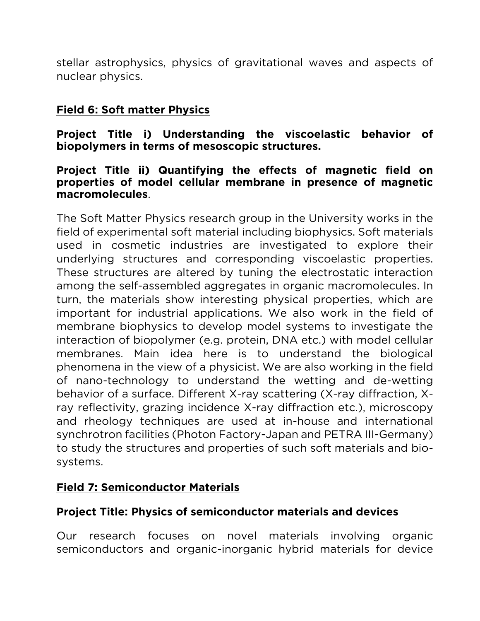stellar astrophysics, physics of gravitational waves and aspects of nuclear physics.

# **Field 6: Soft matter Physics**

**Project Title i) Understanding the viscoelastic behavior of biopolymers in terms of mesoscopic structures.**

#### **Project Title ii) Quantifying the effects of magnetic field on**  macromolecules. **macromolecules**.

The Soft Matter Physics research group in the University works in the field of experimental soft material including biophysics. Soft materials used in cosmetic industries are investigated to explore their underlying structures and corresponding viscoelastic properties. These structures are altered by tuning the electrostatic interaction among the self-assembled aggregates in organic macromolecules. In turn, the materials show interesting physical properties, which are important for industrial applications. We also work in the field of membrane biophysics to develop model systems to investigate the interaction of biopolymer (e.g. protein, DNA etc.) with model cellular membranes. Main idea here is to understand the biological phenomena in the view of a physicist. We are also working in the field of nano-technology to understand the wetting and de-wetting behavior of a surface. Different X-ray scattering (X-ray diffraction, Xray reflectivity, grazing incidence X-ray diffraction etc.), microscopy and rheology techniques are used at in-house and international synchrotron facilities (Photon Factory-Japan and PETRA III-Germany) to study the structures and properties of such soft materials and bioto study the structures and properties of such soft materials and biosystems.

### **Field 7: Semiconductor Materials**

### **Project Title: Physics of semiconductor materials and devices**

research focuses on novel materials involving organic  $_{\rm Our}$ semiconductors and organic-inorganic hybrid materials for device semiconductors and organic-inorganic hybrid materials for device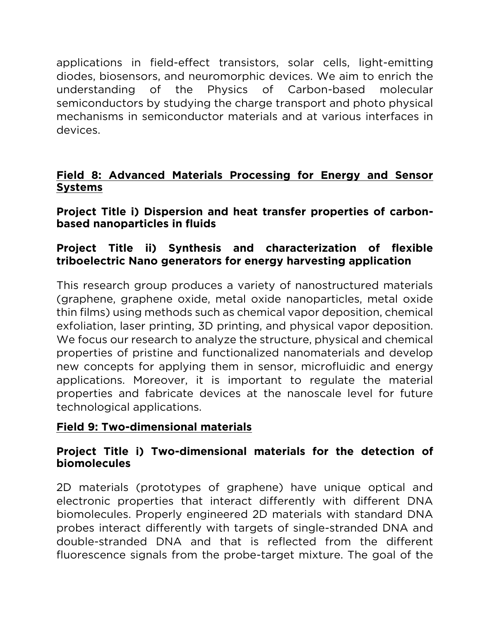applications in field-effect transistors, solar cells, light-emitting understanding of the Physics of Carbon-based molecular semiconductors by studying the charge transport and photo physical mechanisms in semiconductor materials and at various interfaces in mechanisms in semiconductor materials and at various interfaces in devices.

#### **Field 8: Advanced Materials Processing for Energy and Sensor Systems**

#### **Project Title i) Dispersion and heat transfer properties of carbonbased nanoparticles in fluids**

#### Project Title ii) Synthesis and characterization of flexible **Project Title ii) Synthesis and characterization of flexible triboelectric Nano generators for energy harvesting application**

This research group produces a variety of nanostructured materials<br>(graphene, graphene oxide, metal oxide nanoparticles, metal oxide thin films) using methods such as chemical vapor deposition, chemical exfoliation, laser printing, 3D printing, and physical vapor deposition. We focus our research to analyze the structure, physical and chemical properties of pristine and functionalized nanomaterials and develop new concepts for applying them in sensor, microfluidic and energy applications. Moreover, it is important to regulate the material properties and fabricate devices at the nanoscale level for future properties and fabrications at the nanoscale level for future  $\frac{1}{2}$ technological applications.

### **Field 9: Two-dimensional materials**

#### **Project Title i) Two-dimensional materials for the detection of biomolecules**

2D materials (prototypes of graphene) have unique optical and electronic properties that interact differently with different DNA biomolecules. Properly engineered 2D materials with standard DNA probes interact differently with targets of single-stranded DNA and double-stranded DNA and that is reflected from the different fluorescence signals from the probe-target mixture. The goal of the fluorescence signals from the probe-target mixture. The goal of the goal of the goal of the goal of the goal of the goal of the goal of the goal of the goal of the goal of the goal of the goal of the goal of the goal of th